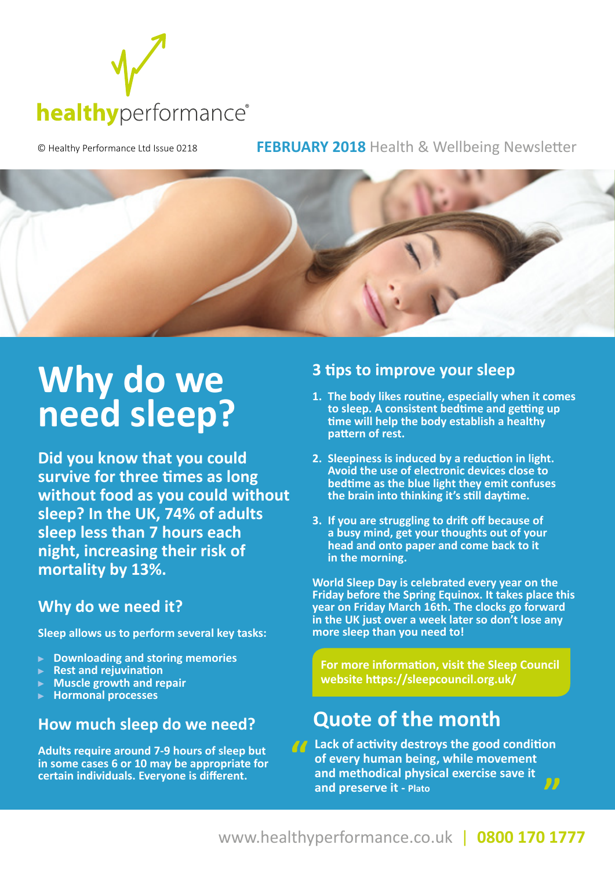

© Healthy Performance Ltd Issue 0218 **FEBRUARY 2018** Health & Wellbeing Newsletter



# Why do we **need sleep?**

**Did you know that you could survive for three times as long without food as you could without sleep? In the UK, 74% of adults sleep less than 7 hours each night, increasing their risk of mortality by 13%.**

### **Why do we need it?**

**Sleep allows us to perform several key tasks:**

- **Downloading and storing memories**
- **Rest and rejuvination**
- **Muscle growth and repair**
- **Hormonal processes**

#### **How much sleep do we need?**

**Adults require around 7-9 hours of sleep but in some cases 6 or 10 may be appropriate for certain individuals. Everyone is different.**

#### **3 tips to improve your sleep**

- **1. The body likes routine, especially when it comes to sleep. A consistent bedtime and getting up time will help the body establish a healthy pattern of rest.**
- **2. Sleepiness is induced by a reduction in light. Avoid the use of electronic devices close to bedtime as the blue light they emit confuses the brain into thinking it's still daytime.**
- **3. If you are struggling to drift off because of a busy mind, get your thoughts out of your head and onto paper and come back to it in the morning.**

**World Sleep Day is celebrated every year on the Friday before the Spring Equinox. It takes place this year on Friday March 16th. The clocks go forward in the UK just over a week later so don't lose any more sleep than you need to!** 

 **For more information, visit the Sleep Council website https://sleepcouncil.org.uk/** 

## **Quote of the month**

**Lack of activity destroys the good condition of every human being, while movement and methodical physical exercise save it**   $\overline{D}$ **and preserve it - Plato**